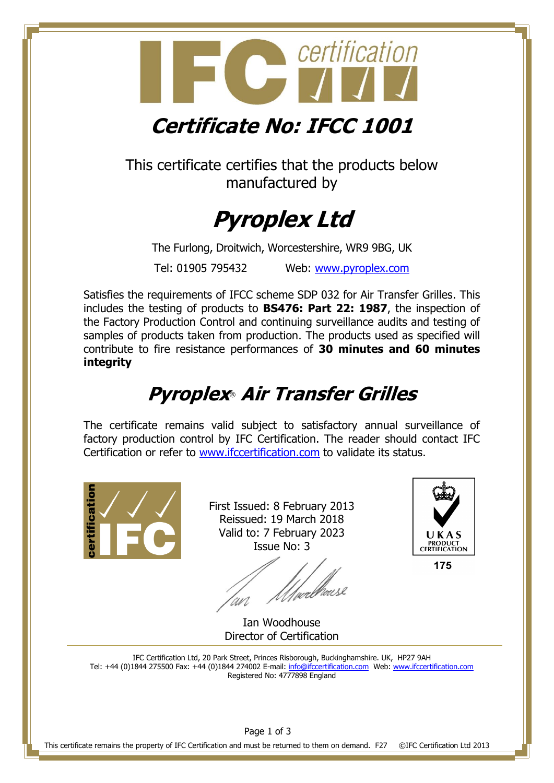

This certificate certifies that the products below manufactured by



The Furlong, Droitwich, Worcestershire, WR9 9BG, UK Tel: 01905 795432 Web: [www.pyroplex.com](http://www.pyroplex.com/)

Satisfies the requirements of IFCC scheme SDP 032 for Air Transfer Grilles. This includes the testing of products to **BS476: Part 22: 1987**, the inspection of the Factory Production Control and continuing surveillance audits and testing of samples of products taken from production. The products used as specified will contribute to fire resistance performances of **30 minutes and 60 minutes integrity**

# **Pyroplex**® **Air Transfer Grilles**

The certificate remains valid subject to satisfactory annual surveillance of factory production control by IFC Certification. The reader should contact IFC Certification or refer to [www.ifccertification.com](http://www.ifccertification.com/) to validate its status.



First Issued: 8 February 2013 Reissued: 19 March 2018 Valid to: 7 February 2023 Issue No: 3

Morellouse 'wi



175

Ian Woodhouse Director of Certification

IFC Certification Ltd, 20 Park Street, Princes Risborough, Buckinghamshire. UK, HP27 9AH Tel: +44 (0)1844 275500 Fax: +44 (0)1844 274002 E-mail: [info@ifccertification.com](mailto:info@ifccertification.com) Web: [www.ifccertification.com](http://www.ifccertification.com/) Registered No: 4777898 England

This certificate remains the property of IFC Certification and must be returned to them on demand. F27 ©IFC Certification Ltd 2013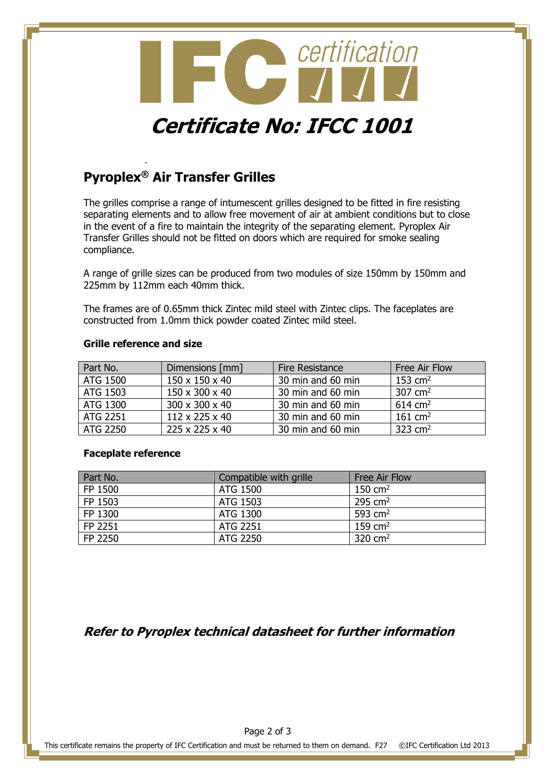

## **Pyroplex® Air Transfer Grilles**

-

The grilles comprise a range of intumescent grilles designed to be fitted in fire resisting separating elements and to allow free movement of air at ambient conditions but to close in the event of a fire to maintain the integrity of the separating element. Pyroplex Air Transfer Grilles should not be fitted on doors which are required for smoke sealing compliance.

A range of grille sizes can be produced from two modules of size 150mm by 150mm and 225mm by 112mm each 40mm thick.

The frames are of 0.65mm thick Zintec mild steel with Zintec clips. The faceplates are constructed from 1.0mm thick powder coated Zintec mild steel.

#### **Grille reference and size**

| Part No. | Dimensions [mm] | <b>Fire Resistance</b> | Free Air Flow         |
|----------|-----------------|------------------------|-----------------------|
| ATG 1500 | 150 x 150 x 40  | 30 min and 60 min      | $153$ cm <sup>2</sup> |
| ATG 1503 | 150 x 300 x 40  | 30 min and 60 min      | $307 \text{ cm}^2$    |
| ATG 1300 | 300 x 300 x 40  | 30 min and 60 min      | $614 \text{ cm}^2$    |
| ATG 2251 | 112 x 225 x 40  | 30 min and 60 min      | 161 $\text{cm}^2$     |
| ATG 2250 | 225 x 225 x 40  | 30 min and 60 min      | 323 $cm2$             |

#### **Faceplate reference**

| Part No. | Compatible with grille | <b>Free Air Flow</b>  |
|----------|------------------------|-----------------------|
| FP 1500  | ATG 1500               | $150 \text{ cm}^2$    |
| FP 1503  | ATG 1503               | 295 $cm2$             |
| FP 1300  | ATG 1300               | 593 $cm2$             |
| FP 2251  | ATG 2251               | $159$ cm <sup>2</sup> |
| FP 2250  | ATG 2250               | 320 $cm2$             |

### **Refer to Pyroplex technical datasheet for further information**

This certificate remains the property of IFC Certification and must be returned to them on demand. F27 ©IFC Certification Ltd 2013